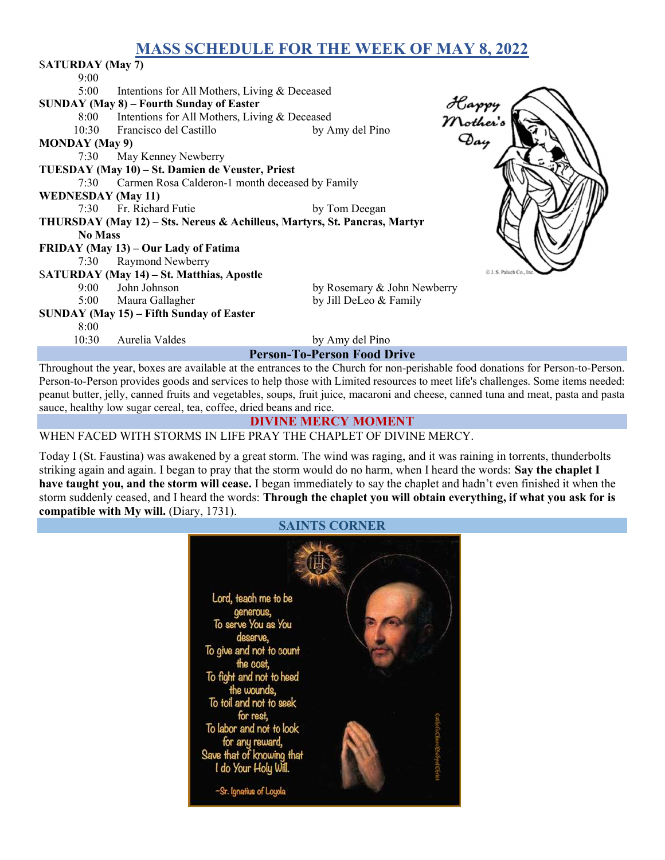# MASS SCHEDULE FOR THE WEEK OF MAY 8, 2022

| <b>SATURDAY</b> (May 7)                                                   |                                                 |                             |                                                                                                                                 |  |
|---------------------------------------------------------------------------|-------------------------------------------------|-----------------------------|---------------------------------------------------------------------------------------------------------------------------------|--|
| 9:00                                                                      |                                                 |                             |                                                                                                                                 |  |
| 5:00                                                                      | Intentions for All Mothers, Living & Deceased   |                             |                                                                                                                                 |  |
| <b>SUNDAY (May 8) – Fourth Sunday of Easter</b>                           |                                                 |                             |                                                                                                                                 |  |
| 8:00                                                                      | Intentions for All Mothers, Living & Deceased   |                             |                                                                                                                                 |  |
|                                                                           | 10:30 Francisco del Castillo                    | by Amy del Pino             |                                                                                                                                 |  |
| Happy<br>Mother's<br>Day<br><b>MONDAY</b> (May 9)                         |                                                 |                             |                                                                                                                                 |  |
| 7:30                                                                      | May Kenney Newberry                             |                             |                                                                                                                                 |  |
| TUESDAY (May 10) – St. Damien de Veuster, Priest                          |                                                 |                             |                                                                                                                                 |  |
| 7:30                                                                      | Carmen Rosa Calderon-1 month deceased by Family |                             |                                                                                                                                 |  |
| <b>WEDNESDAY</b> (May 11)                                                 |                                                 |                             |                                                                                                                                 |  |
| 7:30                                                                      | Fr. Richard Futie                               | by Tom Deegan               |                                                                                                                                 |  |
| THURSDAY (May 12) – Sts. Nereus & Achilleus, Martyrs, St. Pancras, Martyr |                                                 |                             |                                                                                                                                 |  |
| <b>No Mass</b>                                                            |                                                 |                             |                                                                                                                                 |  |
| FRIDAY (May 13) – Our Lady of Fatima                                      |                                                 |                             |                                                                                                                                 |  |
| 7:30                                                                      | <b>Raymond Newberry</b>                         |                             |                                                                                                                                 |  |
| C J. S. Paluch Co.,<br>SATURDAY (May 14) - St. Matthias, Apostle          |                                                 |                             |                                                                                                                                 |  |
| $9:00^{-}$                                                                | John Johnson                                    | by Rosemary & John Newberry |                                                                                                                                 |  |
| 5:00                                                                      | Maura Gallagher                                 | by Jill DeLeo & Family      |                                                                                                                                 |  |
| SUNDAY (May 15) – Fifth Sunday of Easter                                  |                                                 |                             |                                                                                                                                 |  |
| 8:00                                                                      |                                                 |                             |                                                                                                                                 |  |
| 10:30                                                                     | Aurelia Valdes                                  | by Amy del Pino             |                                                                                                                                 |  |
| <b>Person-To-Person Food Drive</b>                                        |                                                 |                             |                                                                                                                                 |  |
|                                                                           |                                                 |                             | Throughout the year, boxes are available at the entrances to the Church for non-perishable food donations for Person-to-Person. |  |

Person-to-Person provides goods and services to help those with Limited resources to meet life's challenges. Some items needed: peanut butter, jelly, canned fruits and vegetables, soups, fruit juice, macaroni and cheese, canned tuna and meat, pasta and pasta sauce, healthy low sugar cereal, tea, coffee, dried beans and rice.

#### DIVINE MERCY MOMENT

### WHEN FACED WITH STORMS IN LIFE PRAY THE CHAPLET OF DIVINE MERCY.

Today I (St. Faustina) was awakened by a great storm. The wind was raging, and it was raining in torrents, thunderbolts striking again and again. I began to pray that the storm would do no harm, when I heard the words: Say the chaplet I have taught you, and the storm will cease. I began immediately to say the chaplet and hadn't even finished it when the storm suddenly ceased, and I heard the words: Through the chaplet you will obtain everything, if what you ask for is compatible with My will. (Diary, 1731).